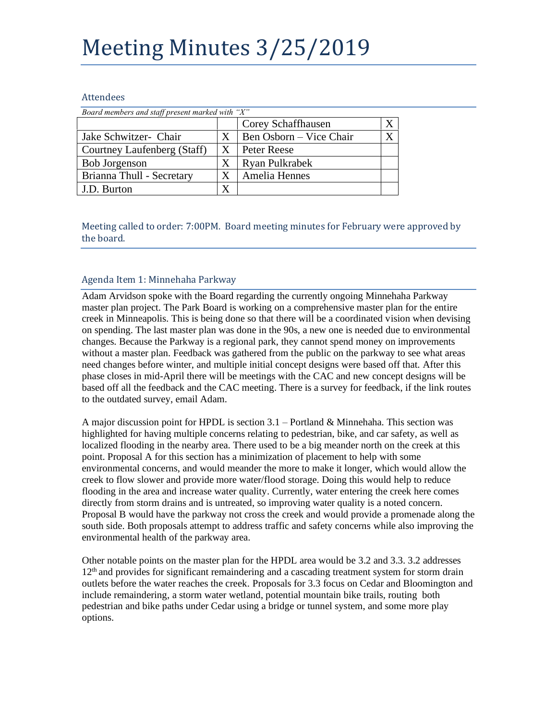# Meeting Minutes 3/25/2019

#### Attendees

| Board members and staff present marked with "X" |   |                         |  |
|-------------------------------------------------|---|-------------------------|--|
|                                                 |   | Corey Schaffhausen      |  |
| Jake Schwitzer- Chair                           | X | Ben Osborn – Vice Chair |  |
| Courtney Laufenberg (Staff)                     | Χ | Peter Reese             |  |
| <b>Bob Jorgenson</b>                            |   | Ryan Pulkrabek          |  |
| Brianna Thull - Secretary                       |   | Amelia Hennes           |  |
| J.D. Burton                                     | X |                         |  |

Meeting called to order: 7:00PM. Board meeting minutes for February were approved by the board.

#### Agenda Item 1: Minnehaha Parkway

Adam Arvidson spoke with the Board regarding the currently ongoing Minnehaha Parkway master plan project. The Park Board is working on a comprehensive master plan for the entire creek in Minneapolis. This is being done so that there will be a coordinated vision when devising on spending. The last master plan was done in the 90s, a new one is needed due to environmental changes. Because the Parkway is a regional park, they cannot spend money on improvements without a master plan. Feedback was gathered from the public on the parkway to see what areas need changes before winter, and multiple initial concept designs were based off that. After this phase closes in mid-April there will be meetings with the CAC and new concept designs will be based off all the feedback and the CAC meeting. There is a survey for feedback, if the link routes to the outdated survey, email Adam.

A major discussion point for HPDL is section  $3.1$  – Portland & Minnehaha. This section was highlighted for having multiple concerns relating to pedestrian, bike, and car safety, as well as localized flooding in the nearby area. There used to be a big meander north on the creek at this point. Proposal A for this section has a minimization of placement to help with some environmental concerns, and would meander the more to make it longer, which would allow the creek to flow slower and provide more water/flood storage. Doing this would help to reduce flooding in the area and increase water quality. Currently, water entering the creek here comes directly from storm drains and is untreated, so improving water quality is a noted concern. Proposal B would have the parkway not cross the creek and would provide a promenade along the south side. Both proposals attempt to address traffic and safety concerns while also improving the environmental health of the parkway area.

Other notable points on the master plan for the HPDL area would be 3.2 and 3.3. 3.2 addresses  $12<sup>th</sup>$  and provides for significant remaindering and a cascading treatment system for storm drain outlets before the water reaches the creek. Proposals for 3.3 focus on Cedar and Bloomington and include remaindering, a storm water wetland, potential mountain bike trails, routing both pedestrian and bike paths under Cedar using a bridge or tunnel system, and some more play options.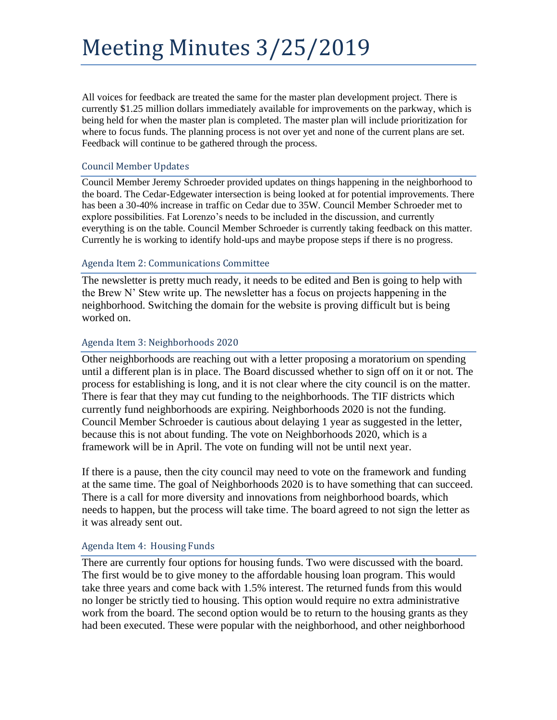## Meeting Minutes 3/25/2019

All voices for feedback are treated the same for the master plan development project. There is currently \$1.25 million dollars immediately available for improvements on the parkway, which is being held for when the master plan is completed. The master plan will include prioritization for where to focus funds. The planning process is not over yet and none of the current plans are set. Feedback will continue to be gathered through the process.

#### Council Member Updates

Council Member Jeremy Schroeder provided updates on things happening in the neighborhood to the board. The Cedar-Edgewater intersection is being looked at for potential improvements. There has been a 30-40% increase in traffic on Cedar due to 35W. Council Member Schroeder met to explore possibilities. Fat Lorenzo's needs to be included in the discussion, and currently everything is on the table. Council Member Schroeder is currently taking feedback on this matter. Currently he is working to identify hold-ups and maybe propose steps if there is no progress.

#### Agenda Item 2: Communications Committee

The newsletter is pretty much ready, it needs to be edited and Ben is going to help with the Brew N' Stew write up. The newsletter has a focus on projects happening in the neighborhood. Switching the domain for the website is proving difficult but is being worked on.

#### Agenda Item 3: Neighborhoods 2020

Other neighborhoods are reaching out with a letter proposing a moratorium on spending until a different plan is in place. The Board discussed whether to sign off on it or not. The process for establishing is long, and it is not clear where the city council is on the matter. There is fear that they may cut funding to the neighborhoods. The TIF districts which currently fund neighborhoods are expiring. Neighborhoods 2020 is not the funding. Council Member Schroeder is cautious about delaying 1 year as suggested in the letter, because this is not about funding. The vote on Neighborhoods 2020, which is a framework will be in April. The vote on funding will not be until next year.

If there is a pause, then the city council may need to vote on the framework and funding at the same time. The goal of Neighborhoods 2020 is to have something that can succeed. There is a call for more diversity and innovations from neighborhood boards, which needs to happen, but the process will take time. The board agreed to not sign the letter as it was already sent out.

#### Agenda Item 4: Housing Funds

There are currently four options for housing funds. Two were discussed with the board. The first would be to give money to the affordable housing loan program. This would take three years and come back with 1.5% interest. The returned funds from this would no longer be strictly tied to housing. This option would require no extra administrative work from the board. The second option would be to return to the housing grants as they had been executed. These were popular with the neighborhood, and other neighborhood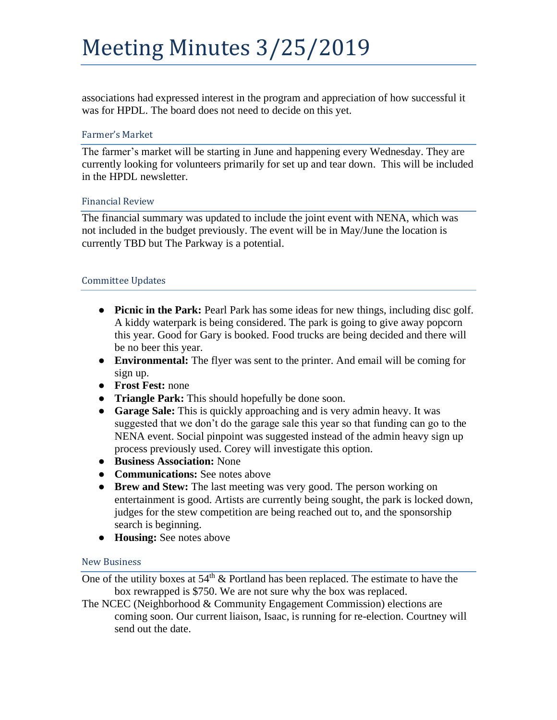associations had expressed interest in the program and appreciation of how successful it was for HPDL. The board does not need to decide on this yet.

## Farmer's Market

The farmer's market will be starting in June and happening every Wednesday. They are currently looking for volunteers primarily for set up and tear down. This will be included in the HPDL newsletter.

## Financial Review

The financial summary was updated to include the joint event with NENA, which was not included in the budget previously. The event will be in May/June the location is currently TBD but The Parkway is a potential.

## Committee Updates

- **Picnic in the Park:** Pearl Park has some ideas for new things, including disc golf. A kiddy waterpark is being considered. The park is going to give away popcorn this year. Good for Gary is booked. Food trucks are being decided and there will be no beer this year.
- **Environmental:** The flyer was sent to the printer. And email will be coming for sign up.
- **Frost Fest:** none
- **Triangle Park:** This should hopefully be done soon.
- **Garage Sale:** This is quickly approaching and is very admin heavy. It was suggested that we don't do the garage sale this year so that funding can go to the NENA event. Social pinpoint was suggested instead of the admin heavy sign up process previously used. Corey will investigate this option.
- **Business Association:** None
- **Communications:** See notes above
- **Brew and Stew:** The last meeting was very good. The person working on entertainment is good. Artists are currently being sought, the park is locked down, judges for the stew competition are being reached out to, and the sponsorship search is beginning.
- **Housing:** See notes above

## New Business

One of the utility boxes at  $54<sup>th</sup>$  & Portland has been replaced. The estimate to have the box rewrapped is \$750. We are not sure why the box was replaced.

The NCEC (Neighborhood & Community Engagement Commission) elections are coming soon. Our current liaison, Isaac, is running for re-election. Courtney will send out the date.